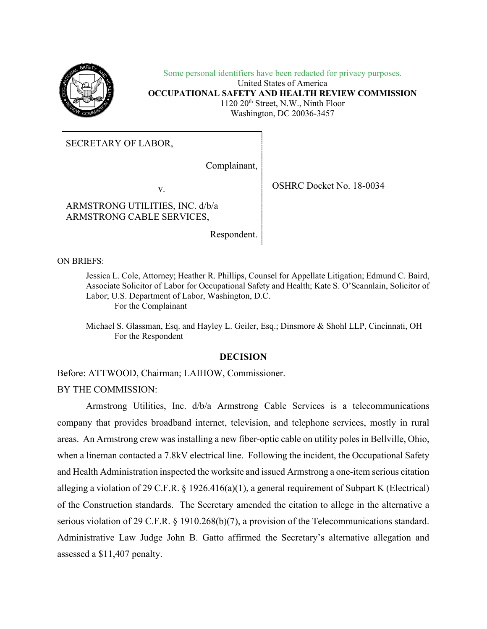

Some personal identifiers have been redacted for privacy purposes. United States of America **OCCUPATIONAL SAFETY AND HEALTH REVIEW COMMISSION**  1120 20th Street, N.W., Ninth Floor Washington, DC 20036-3457

SECRETARY OF LABOR,

Complainant,

v. SHRC Docket No. 18-0034

ARMSTRONG UTILITIES, INC. d/b/a ARMSTRONG CABLE SERVICES,

Respondent.

ON BRIEFS:

Jessica L. Cole, Attorney; Heather R. Phillips, Counsel for Appellate Litigation; Edmund C. Baird, Associate Solicitor of Labor for Occupational Safety and Health; Kate S. O'Scannlain, Solicitor of Labor; U.S. Department of Labor, Washington, D.C. For the Complainant

Michael S. Glassman, Esq. and Hayley L. Geiler, Esq.; Dinsmore & Shohl LLP, Cincinnati, OH For the Respondent

### **DECISION**

Before: ATTWOOD, Chairman; LAIHOW, Commissioner.

BY THE COMMISSION:

Armstrong Utilities, Inc. d/b/a Armstrong Cable Services is a telecommunications company that provides broadband internet, television, and telephone services, mostly in rural areas. An Armstrong crew was installing a new fiber-optic cable on utility poles in Bellville, Ohio, when a lineman contacted a 7.8kV electrical line. Following the incident, the Occupational Safety and Health Administration inspected the worksite and issued Armstrong a one-item serious citation alleging a violation of 29 C.F.R.  $\S$  1926.416(a)(1), a general requirement of Subpart K (Electrical) of the Construction standards. The Secretary amended the citation to allege in the alternative a serious violation of 29 C.F.R. § 1910.268(b)(7), a provision of the Telecommunications standard. Administrative Law Judge John B. Gatto affirmed the Secretary's alternative allegation and assessed a \$11,407 penalty.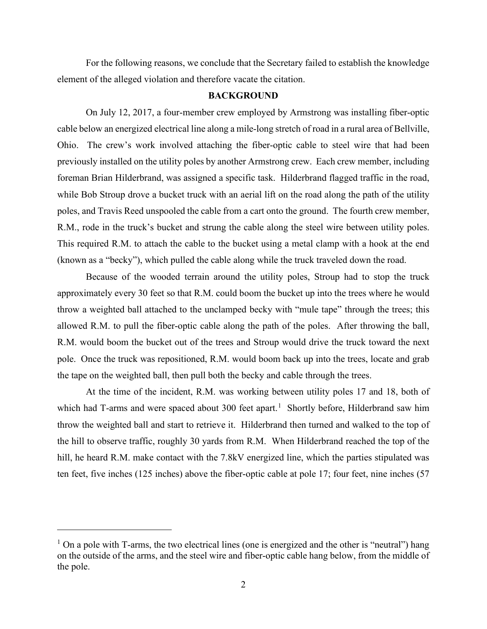For the following reasons, we conclude that the Secretary failed to establish the knowledge element of the alleged violation and therefore vacate the citation.

### **BACKGROUND**

On July 12, 2017, a four-member crew employed by Armstrong was installing fiber-optic cable below an energized electrical line along a mile-long stretch of road in a rural area of Bellville, Ohio. The crew's work involved attaching the fiber-optic cable to steel wire that had been previously installed on the utility poles by another Armstrong crew. Each crew member, including foreman Brian Hilderbrand, was assigned a specific task. Hilderbrand flagged traffic in the road, while Bob Stroup drove a bucket truck with an aerial lift on the road along the path of the utility poles, and Travis Reed unspooled the cable from a cart onto the ground. The fourth crew member, R.M., rode in the truck's bucket and strung the cable along the steel wire between utility poles. This required R.M. to attach the cable to the bucket using a metal clamp with a hook at the end (known as a "becky"), which pulled the cable along while the truck traveled down the road.

Because of the wooded terrain around the utility poles, Stroup had to stop the truck approximately every 30 feet so that R.M. could boom the bucket up into the trees where he would throw a weighted ball attached to the unclamped becky with "mule tape" through the trees; this allowed R.M. to pull the fiber-optic cable along the path of the poles. After throwing the ball, R.M. would boom the bucket out of the trees and Stroup would drive the truck toward the next pole. Once the truck was repositioned, R.M. would boom back up into the trees, locate and grab the tape on the weighted ball, then pull both the becky and cable through the trees.

At the time of the incident, R.M. was working between utility poles 17 and 18, both of which had T-arms and were spaced about 300 feet apart.<sup>[1](#page-1-0)</sup> Shortly before, Hilderbrand saw him throw the weighted ball and start to retrieve it. Hilderbrand then turned and walked to the top of the hill to observe traffic, roughly 30 yards from R.M. When Hilderbrand reached the top of the hill, he heard R.M. make contact with the 7.8kV energized line, which the parties stipulated was ten feet, five inches (125 inches) above the fiber-optic cable at pole 17; four feet, nine inches (57

<span id="page-1-0"></span> $1$  On a pole with T-arms, the two electrical lines (one is energized and the other is "neutral") hang on the outside of the arms, and the steel wire and fiber-optic cable hang below, from the middle of the pole.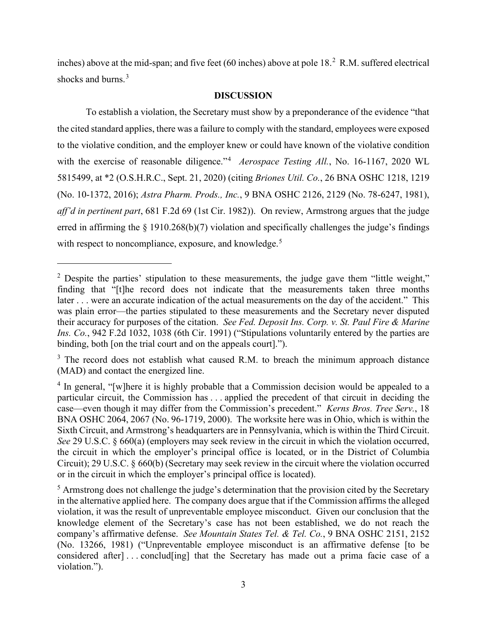inches) above at the mid-span; and five feet (60 inches) above at pole  $18<sup>2</sup>$  $18<sup>2</sup>$  $18<sup>2</sup>$  R.M. suffered electrical shocks and burns.<sup>[3](#page-2-1)</sup>

### **DISCUSSION**

To establish a violation, the Secretary must show by a preponderance of the evidence "that the cited standard applies, there was a failure to comply with the standard, employees were exposed to the violative condition, and the employer knew or could have known of the violative condition with the exercise of reasonable diligence."<sup>[4](#page-2-2)</sup> Aerospace Testing All., No. 16-1167, 2020 WL 5815499, at \*2 (O.S.H.R.C., Sept. 21, 2020) (citing *Briones Util. Co.*, 26 BNA OSHC 1218, 1219 (No. 10-1372, 2016); *Astra Pharm. Prods., Inc.*, 9 BNA OSHC 2126, 2129 (No. 78-6247, 1981), *aff'd in pertinent part*, 681 F.2d 69 (1st Cir. 1982)). On review, Armstrong argues that the judge erred in affirming the  $\S$  1910.268(b)(7) violation and specifically challenges the judge's findings with respect to noncompliance, exposure, and knowledge.<sup>[5](#page-2-3)</sup>

<span id="page-2-0"></span><sup>&</sup>lt;sup>2</sup> Despite the parties' stipulation to these measurements, the judge gave them "little weight," finding that "[t]he record does not indicate that the measurements taken three months later . . . were an accurate indication of the actual measurements on the day of the accident." This was plain error—the parties stipulated to these measurements and the Secretary never disputed their accuracy for purposes of the citation. *See Fed. Deposit Ins. Corp. v. St. Paul Fire & Marine Ins. Co.*, 942 F.2d 1032, 1038 (6th Cir. 1991) ("Stipulations voluntarily entered by the parties are binding, both [on the trial court and on the appeals court].").

<span id="page-2-1"></span> $3$  The record does not establish what caused R.M. to breach the minimum approach distance (MAD) and contact the energized line.

<span id="page-2-2"></span> $4$  In general, "[w]here it is highly probable that a Commission decision would be appealed to a particular circuit, the Commission has . . . applied the precedent of that circuit in deciding the case—even though it may differ from the Commission's precedent." *Kerns Bros. Tree Serv.*, 18 BNA OSHC 2064, 2067 (No. 96-1719, 2000). The worksite here was in Ohio, which is within the Sixth Circuit, and Armstrong's headquarters are in Pennsylvania, which is within the Third Circuit. *See* 29 U.S.C. § 660(a) (employers may seek review in the circuit in which the violation occurred, the circuit in which the employer's principal office is located, or in the District of Columbia Circuit); 29 U.S.C. § 660(b) (Secretary may seek review in the circuit where the violation occurred or in the circuit in which the employer's principal office is located).

<span id="page-2-3"></span> $<sup>5</sup>$  Armstrong does not challenge the judge's determination that the provision cited by the Secretary</sup> in the alternative applied here. The company does argue that if the Commission affirms the alleged violation, it was the result of unpreventable employee misconduct. Given our conclusion that the knowledge element of the Secretary's case has not been established, we do not reach the company's affirmative defense. *See Mountain States Tel. & Tel. Co.*, 9 BNA OSHC 2151, 2152 (No. 13266, 1981) ("Unpreventable employee misconduct is an affirmative defense [to be considered after]...conclud[ing] that the Secretary has made out a prima facie case of a violation.").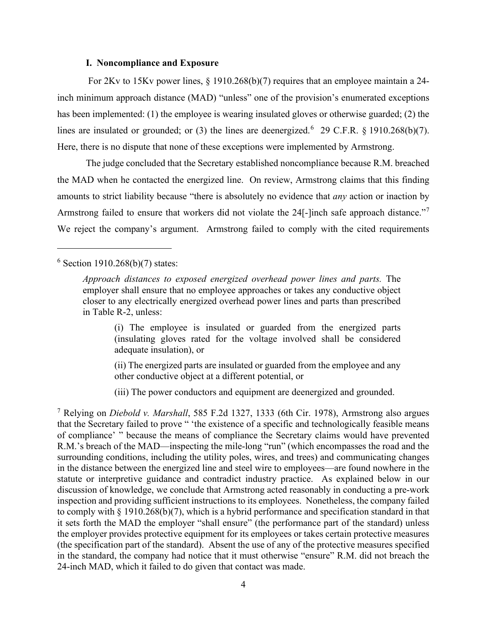### **I. Noncompliance and Exposure**

For 2Kv to 15Kv power lines, § 1910.268(b)(7) requires that an employee maintain a 24 inch minimum approach distance (MAD) "unless" one of the provision's enumerated exceptions has been implemented: (1) the employee is wearing insulated gloves or otherwise guarded; (2) the lines are insulated or grounded; or (3) the lines are deenergized.<sup>[6](#page-3-0)</sup> 29 C.F.R. § 1910.268(b)(7). Here, there is no dispute that none of these exceptions were implemented by Armstrong.

The judge concluded that the Secretary established noncompliance because R.M. breached the MAD when he contacted the energized line. On review, Armstrong claims that this finding amounts to strict liability because "there is absolutely no evidence that *any* action or inaction by Armstrong failed to ensure that workers did not violate the 24[-]inch safe approach distance."[7](#page-3-1) We reject the company's argument. Armstrong failed to comply with the cited requirements

# <span id="page-3-0"></span> $6$  Section 1910.268(b)(7) states:

(i) The employee is insulated or guarded from the energized parts (insulating gloves rated for the voltage involved shall be considered adequate insulation), or

(ii) The energized parts are insulated or guarded from the employee and any other conductive object at a different potential, or

(iii) The power conductors and equipment are deenergized and grounded.

<span id="page-3-1"></span><sup>7</sup> Relying on *Diebold v. Marshall*, 585 F.2d 1327, 1333 (6th Cir. 1978), Armstrong also argues that the Secretary failed to prove " 'the existence of a specific and technologically feasible means of compliance' " because the means of compliance the Secretary claims would have prevented R.M.'s breach of the MAD—inspecting the mile-long "run" (which encompasses the road and the surrounding conditions, including the utility poles, wires, and trees) and communicating changes in the distance between the energized line and steel wire to employees—are found nowhere in the statute or interpretive guidance and contradict industry practice. As explained below in our discussion of knowledge, we conclude that Armstrong acted reasonably in conducting a pre-work inspection and providing sufficient instructions to its employees. Nonetheless, the company failed to comply with § 1910.268(b)(7), which is a hybrid performance and specification standard in that it sets forth the MAD the employer "shall ensure" (the performance part of the standard) unless the employer provides protective equipment for its employees or takes certain protective measures (the specification part of the standard). Absent the use of any of the protective measures specified in the standard, the company had notice that it must otherwise "ensure" R.M. did not breach the 24-inch MAD, which it failed to do given that contact was made.

*Approach distances to exposed energized overhead power lines and parts.* The employer shall ensure that no employee approaches or takes any conductive object closer to any electrically energized overhead power lines and parts than prescribed in Table R-2, unless: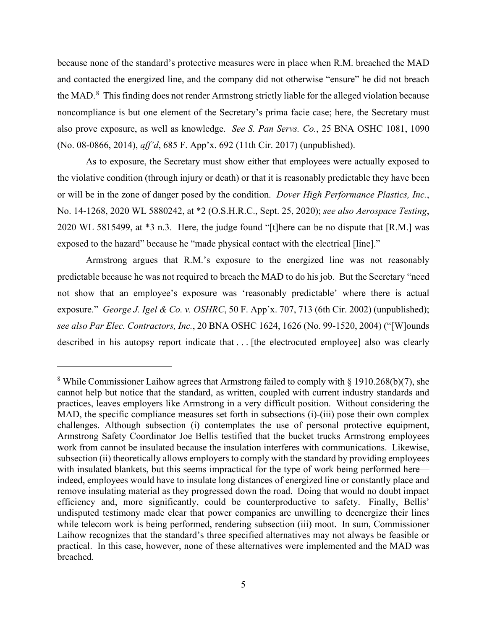because none of the standard's protective measures were in place when R.M. breached the MAD and contacted the energized line, and the company did not otherwise "ensure" he did not breach the MAD.<sup>[8](#page-4-0)</sup> This finding does not render Armstrong strictly liable for the alleged violation because noncompliance is but one element of the Secretary's prima facie case; here, the Secretary must also prove exposure, as well as knowledge. *See S. Pan Servs. Co.*, 25 BNA OSHC 1081, 1090 (No. 08-0866, 2014), *aff'd*, 685 F. App'x. 692 (11th Cir. 2017) (unpublished).

As to exposure, the Secretary must show either that employees were actually exposed to the violative condition (through injury or death) or that it is reasonably predictable they have been or will be in the zone of danger posed by the condition. *Dover High Performance Plastics, Inc.*, No. 14-1268, 2020 WL 5880242, at \*2 (O.S.H.R.C., Sept. 25, 2020); *see also Aerospace Testing*, 2020 WL 5815499, at \*3 n.3. Here, the judge found "[t]here can be no dispute that [R.M.] was exposed to the hazard" because he "made physical contact with the electrical [line]."

Armstrong argues that R.M.'s exposure to the energized line was not reasonably predictable because he was not required to breach the MAD to do his job. But the Secretary "need not show that an employee's exposure was 'reasonably predictable' where there is actual exposure." *George J. Igel & Co. v. OSHRC*, 50 F. App'x. 707, 713 (6th Cir. 2002) (unpublished); *see also Par Elec. Contractors, Inc.*, 20 BNA OSHC 1624, 1626 (No. 99-1520, 2004) ("[W]ounds described in his autopsy report indicate that . . [the electrocuted employee] also was clearly

<span id="page-4-0"></span><sup>&</sup>lt;sup>8</sup> While Commissioner Laihow agrees that Armstrong failed to comply with  $\S$  1910.268(b)(7), she cannot help but notice that the standard, as written, coupled with current industry standards and practices, leaves employers like Armstrong in a very difficult position. Without considering the MAD, the specific compliance measures set forth in subsections (i)-(iii) pose their own complex challenges. Although subsection (i) contemplates the use of personal protective equipment, Armstrong Safety Coordinator Joe Bellis testified that the bucket trucks Armstrong employees work from cannot be insulated because the insulation interferes with communications. Likewise, subsection (ii) theoretically allows employers to comply with the standard by providing employees with insulated blankets, but this seems impractical for the type of work being performed here indeed, employees would have to insulate long distances of energized line or constantly place and remove insulating material as they progressed down the road. Doing that would no doubt impact efficiency and, more significantly, could be counterproductive to safety. Finally, Bellis' undisputed testimony made clear that power companies are unwilling to deenergize their lines while telecom work is being performed, rendering subsection (iii) moot. In sum, Commissioner Laihow recognizes that the standard's three specified alternatives may not always be feasible or practical. In this case, however, none of these alternatives were implemented and the MAD was breached.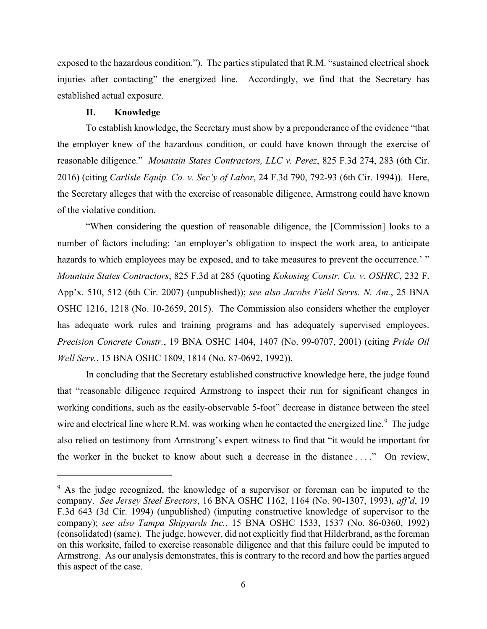exposed to the hazardous condition."). The parties stipulated that R.M. "sustained electrical shock injuries after contacting" the energized line. Accordingly, we find that the Secretary has established actual exposure.

### **II. Knowledge**

To establish knowledge, the Secretary must show by a preponderance of the evidence "that the employer knew of the hazardous condition, or could have known through the exercise of reasonable diligence." *Mountain States Contractors, LLC v. Perez*, 825 F.3d 274, 283 (6th Cir. 2016) (citing *Carlisle Equip. Co. v. Sec'y of Labor*, 24 F.3d 790, 792-93 (6th Cir. 1994)). Here, the Secretary alleges that with the exercise of reasonable diligence, Armstrong could have known of the violative condition.

"When considering the question of reasonable diligence, the [Commission] looks to a number of factors including: 'an employer's obligation to inspect the work area, to anticipate hazards to which employees may be exposed, and to take measures to prevent the occurrence.'" *Mountain States Contractors*, 825 F.3d at 285 (quoting *Kokosing Constr. Co. v. OSHRC*, 232 F. App'x. 510, 512 (6th Cir. 2007) (unpublished)); *see also Jacobs Field Servs. N. Am.*, 25 BNA OSHC 1216, 1218 (No. 10-2659, 2015). The Commission also considers whether the employer has adequate work rules and training programs and has adequately supervised employees. *Precision Concrete Constr.*, 19 BNA OSHC 1404, 1407 (No. 99-0707, 2001) (citing *Pride Oil Well Serv.*, 15 BNA OSHC 1809, 1814 (No. 87-0692, 1992)).

In concluding that the Secretary established constructive knowledge here, the judge found that "reasonable diligence required Armstrong to inspect their run for significant changes in working conditions, such as the easily-observable 5-foot" decrease in distance between the steel wire and electrical line where R.M. was working when he contacted the energized line.<sup>[9](#page-5-0)</sup> The judge also relied on testimony from Armstrong's expert witness to find that "it would be important for the worker in the bucket to know about such a decrease in the distance . . . ." On review,

<span id="page-5-0"></span><sup>&</sup>lt;sup>9</sup> As the judge recognized, the knowledge of a supervisor or foreman can be imputed to the company. *See Jersey Steel Erectors*, 16 BNA OSHC 1162, 1164 (No. 90-1307, 1993), *aff'd*, 19 F.3d 643 (3d Cir. 1994) (unpublished) (imputing constructive knowledge of supervisor to the company); *see also Tampa Shipyards Inc.*, 15 BNA OSHC 1533, 1537 (No. 86-0360, 1992) (consolidated) (same). The judge, however, did not explicitly find that Hilderbrand, asthe foreman on this worksite, failed to exercise reasonable diligence and that this failure could be imputed to Armstrong. As our analysis demonstrates, this is contrary to the record and how the parties argued this aspect of the case.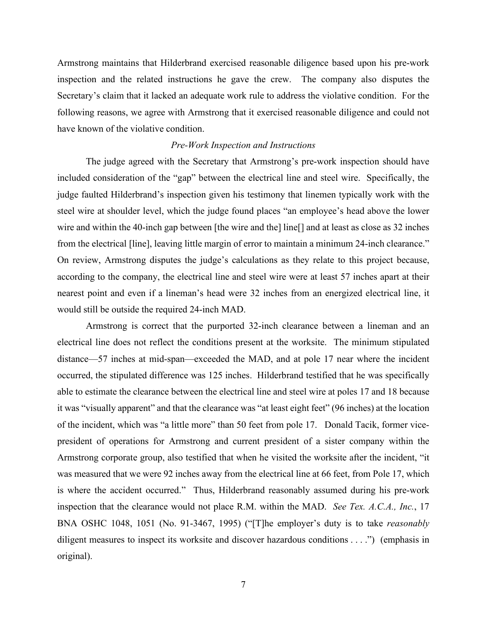Armstrong maintains that Hilderbrand exercised reasonable diligence based upon his pre-work inspection and the related instructions he gave the crew. The company also disputes the Secretary's claim that it lacked an adequate work rule to address the violative condition. For the following reasons, we agree with Armstrong that it exercised reasonable diligence and could not have known of the violative condition.

# *Pre-Work Inspection and Instructions*

The judge agreed with the Secretary that Armstrong's pre-work inspection should have included consideration of the "gap" between the electrical line and steel wire. Specifically, the judge faulted Hilderbrand's inspection given his testimony that linemen typically work with the steel wire at shoulder level, which the judge found places "an employee's head above the lower wire and within the 40-inch gap between [the wire and the] line[] and at least as close as 32 inches from the electrical [line], leaving little margin of error to maintain a minimum 24-inch clearance." On review, Armstrong disputes the judge's calculations as they relate to this project because, according to the company, the electrical line and steel wire were at least 57 inches apart at their nearest point and even if a lineman's head were 32 inches from an energized electrical line, it would still be outside the required 24-inch MAD.

Armstrong is correct that the purported 32-inch clearance between a lineman and an electrical line does not reflect the conditions present at the worksite. The minimum stipulated distance—57 inches at mid-span—exceeded the MAD, and at pole 17 near where the incident occurred, the stipulated difference was 125 inches. Hilderbrand testified that he was specifically able to estimate the clearance between the electrical line and steel wire at poles 17 and 18 because it was "visually apparent" and that the clearance was "at least eight feet" (96 inches) at the location of the incident, which was "a little more" than 50 feet from pole 17. Donald Tacik, former vicepresident of operations for Armstrong and current president of a sister company within the Armstrong corporate group, also testified that when he visited the worksite after the incident, "it was measured that we were 92 inches away from the electrical line at 66 feet, from Pole 17, which is where the accident occurred." Thus, Hilderbrand reasonably assumed during his pre-work inspection that the clearance would not place R.M. within the MAD. *See Tex. A.C.A., Inc.*, 17 BNA OSHC 1048, 1051 (No. 91-3467, 1995) ("[T]he employer's duty is to take *reasonably* diligent measures to inspect its worksite and discover hazardous conditions . . . .") (emphasis in original).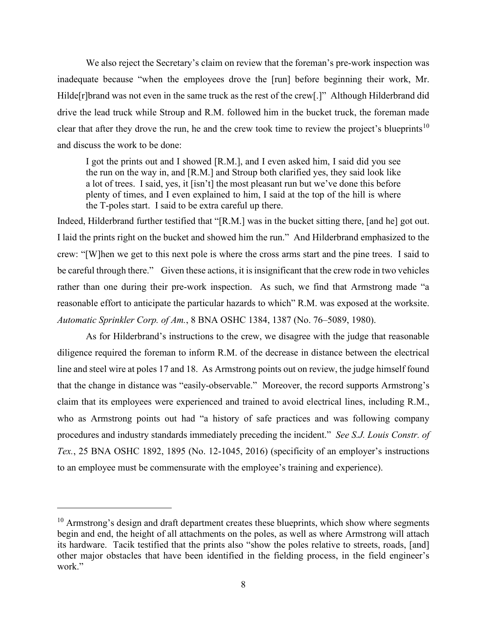We also reject the Secretary's claim on review that the foreman's pre-work inspection was inadequate because "when the employees drove the [run] before beginning their work, Mr. Hilde[r]brand was not even in the same truck as the rest of the crew[.]" Although Hilderbrand did drive the lead truck while Stroup and R.M. followed him in the bucket truck, the foreman made clear that after they drove the run, he and the crew took time to review the project's blueprints<sup>[10](#page-7-0)</sup> and discuss the work to be done:

I got the prints out and I showed [R.M.], and I even asked him, I said did you see the run on the way in, and [R.M.] and Stroup both clarified yes, they said look like a lot of trees. I said, yes, it [isn't] the most pleasant run but we've done this before plenty of times, and I even explained to him, I said at the top of the hill is where the T-poles start. I said to be extra careful up there.

Indeed, Hilderbrand further testified that "[R.M.] was in the bucket sitting there, [and he] got out. I laid the prints right on the bucket and showed him the run." And Hilderbrand emphasized to the crew: "[W]hen we get to this next pole is where the cross arms start and the pine trees. I said to be careful through there." Given these actions, it is insignificant that the crew rode in two vehicles rather than one during their pre-work inspection. As such, we find that Armstrong made "a reasonable effort to anticipate the particular hazards to which" R.M. was exposed at the worksite. *Automatic Sprinkler Corp. of Am.*, 8 BNA OSHC 1384, 1387 (No. 76–5089, 1980).

As for Hilderbrand's instructions to the crew, we disagree with the judge that reasonable diligence required the foreman to inform R.M. of the decrease in distance between the electrical line and steel wire at poles 17 and 18. As Armstrong points out on review, the judge himself found that the change in distance was "easily-observable." Moreover, the record supports Armstrong's claim that its employees were experienced and trained to avoid electrical lines, including R.M., who as Armstrong points out had "a history of safe practices and was following company procedures and industry standards immediately preceding the incident." *See S.J. Louis Constr. of Tex.*, 25 BNA OSHC 1892, 1895 (No. 12-1045, 2016) (specificity of an employer's instructions to an employee must be commensurate with the employee's training and experience).

<span id="page-7-0"></span> $10$  Armstrong's design and draft department creates these blueprints, which show where segments begin and end, the height of all attachments on the poles, as well as where Armstrong will attach its hardware. Tacik testified that the prints also "show the poles relative to streets, roads, [and] other major obstacles that have been identified in the fielding process, in the field engineer's work."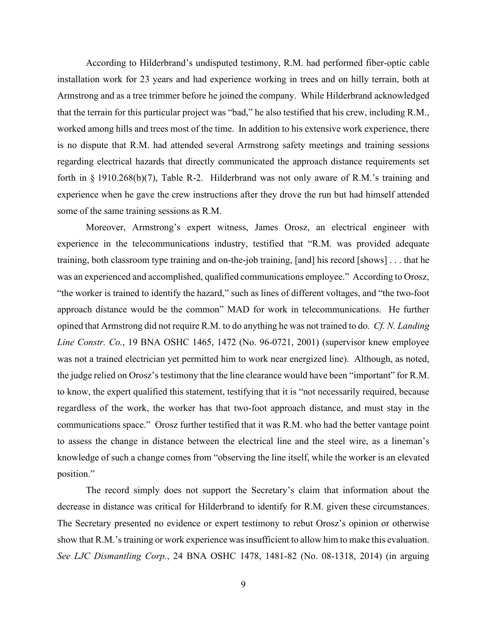According to Hilderbrand's undisputed testimony, R.M. had performed fiber-optic cable installation work for 23 years and had experience working in trees and on hilly terrain, both at Armstrong and as a tree trimmer before he joined the company. While Hilderbrand acknowledged that the terrain for this particular project was "bad," he also testified that his crew, including R.M., worked among hills and trees most of the time. In addition to his extensive work experience, there is no dispute that R.M. had attended several Armstrong safety meetings and training sessions regarding electrical hazards that directly communicated the approach distance requirements set forth in § 1910.268(b)(7), Table R-2. Hilderbrand was not only aware of R.M.'s training and experience when he gave the crew instructions after they drove the run but had himself attended some of the same training sessions as R.M.

Moreover, Armstrong's expert witness, James Orosz, an electrical engineer with experience in the telecommunications industry, testified that "R.M. was provided adequate training, both classroom type training and on-the-job training, [and] his record [shows] . . . that he was an experienced and accomplished, qualified communications employee." According to Orosz, "the worker is trained to identify the hazard," such as lines of different voltages, and "the two-foot approach distance would be the common" MAD for work in telecommunications. He further opined that Armstrong did not require R.M. to do anything he was not trained to do. *Cf. N. Landing Line Constr. Co.*, 19 BNA OSHC 1465, 1472 (No. 96-0721, 2001) (supervisor knew employee was not a trained electrician yet permitted him to work near energized line). Although, as noted, the judge relied on Orosz's testimony that the line clearance would have been "important" for R.M. to know, the expert qualified this statement, testifying that it is "not necessarily required, because regardless of the work, the worker has that two-foot approach distance, and must stay in the communications space." Orosz further testified that it was R.M. who had the better vantage point to assess the change in distance between the electrical line and the steel wire, as a lineman's knowledge of such a change comes from "observing the line itself, while the worker is an elevated position."

The record simply does not support the Secretary's claim that information about the decrease in distance was critical for Hilderbrand to identify for R.M. given these circumstances. The Secretary presented no evidence or expert testimony to rebut Orosz's opinion or otherwise show that R.M.'s training or work experience was insufficient to allow him to make this evaluation. *See LJC Dismantling Corp.*, 24 BNA OSHC 1478, 1481-82 (No. 08-1318, 2014) (in arguing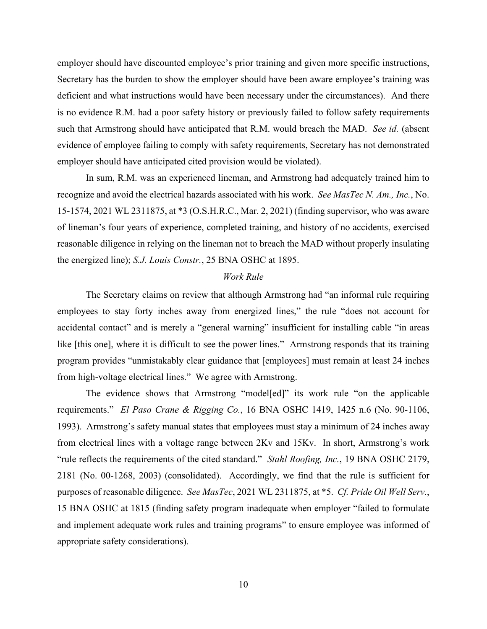employer should have discounted employee's prior training and given more specific instructions, Secretary has the burden to show the employer should have been aware employee's training was deficient and what instructions would have been necessary under the circumstances). And there is no evidence R.M. had a poor safety history or previously failed to follow safety requirements such that Armstrong should have anticipated that R.M. would breach the MAD. *See id.* (absent evidence of employee failing to comply with safety requirements, Secretary has not demonstrated employer should have anticipated cited provision would be violated).

In sum, R.M. was an experienced lineman, and Armstrong had adequately trained him to recognize and avoid the electrical hazards associated with his work. *See MasTec N. Am., Inc.*, No. 15-1574, 2021 WL 2311875, at \*3 (O.S.H.R.C., Mar. 2, 2021) (finding supervisor, who was aware of lineman's four years of experience, completed training, and history of no accidents, exercised reasonable diligence in relying on the lineman not to breach the MAD without properly insulating the energized line); *S.J. Louis Constr.*, 25 BNA OSHC at 1895.

# *Work Rule*

The Secretary claims on review that although Armstrong had "an informal rule requiring employees to stay forty inches away from energized lines," the rule "does not account for accidental contact" and is merely a "general warning" insufficient for installing cable "in areas like [this one], where it is difficult to see the power lines." Armstrong responds that its training program provides "unmistakably clear guidance that [employees] must remain at least 24 inches from high-voltage electrical lines." We agree with Armstrong.

The evidence shows that Armstrong "model[ed]" its work rule "on the applicable requirements." *El Paso Crane & Rigging Co.*, 16 BNA OSHC 1419, 1425 n.6 (No. 90-1106, 1993). Armstrong's safety manual states that employees must stay a minimum of 24 inches away from electrical lines with a voltage range between 2Kv and 15Kv. In short, Armstrong's work "rule reflects the requirements of the cited standard." *Stahl Roofing, Inc.*, 19 BNA OSHC 2179, 2181 (No. 00-1268, 2003) (consolidated). Accordingly, we find that the rule is sufficient for purposes of reasonable diligence. *See MasTec*, 2021 WL 2311875, at \*5. *Cf. Pride Oil Well Serv.*, 15 BNA OSHC at 1815 (finding safety program inadequate when employer "failed to formulate and implement adequate work rules and training programs" to ensure employee was informed of appropriate safety considerations).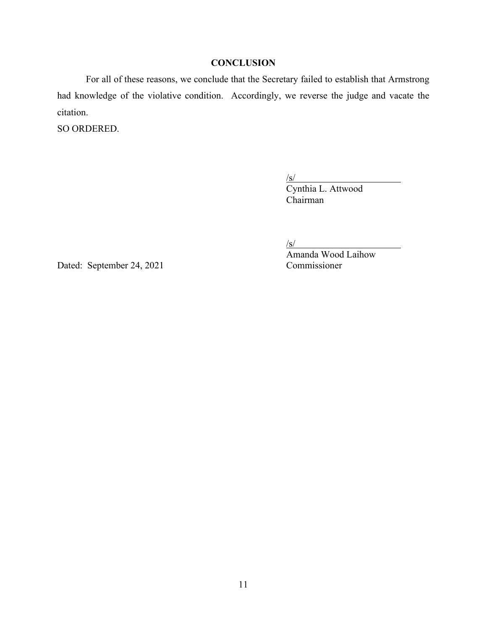# **CONCLUSION**

For all of these reasons, we conclude that the Secretary failed to establish that Armstrong had knowledge of the violative condition. Accordingly, we reverse the judge and vacate the citation.

SO ORDERED.

/s/ Cynthia L. Attwood Chairman

/s/

Dated: September 24, 2021 Commissioner

Amanda Wood Laihow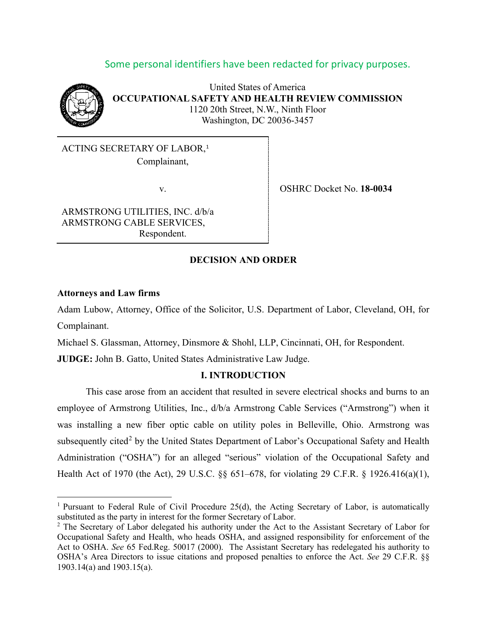# Some personal identifiers have been redacted for privacy purposes.



United States of America **OCCUPATIONAL SAFETY AND HEALTH REVIEW COMMISSION** 1120 20th Street, N.W., Ninth Floor Washington, DC 20036-3457

ACTING SECRETARY OF LABOR, [1](#page-11-0) Complainant,

ARMSTRONG UTILITIES, INC. d/b/a ARMSTRONG CABLE SERVICES, Respondent.

v. OSHRC Docket No. **18-0034**

# **DECISION AND ORDER**

### **Attorneys and Law firms**

Adam Lubow, Attorney, Office of the Solicitor, U.S. Department of Labor, Cleveland, OH, for Complainant.

Michael S. Glassman, Attorney, Dinsmore & Shohl, LLP, Cincinnati, OH, for Respondent.

**JUDGE:** John B. Gatto, United States Administrative Law Judge.

### **I. INTRODUCTION**

This case arose from an accident that resulted in severe electrical shocks and burns to an employee of Armstrong Utilities, Inc., d/b/a Armstrong Cable Services ("Armstrong") when it was installing a new fiber optic cable on utility poles in Belleville, Ohio. Armstrong was subsequently cited<sup>[2](#page-11-1)</sup> by the United States Department of Labor's Occupational Safety and Health Administration ("OSHA") for an alleged "serious" violation of the Occupational Safety and Health Act of 1970 (the Act), 29 U.S.C. §§ 651–678, for violating 29 C.F.R. § 1926.416(a)(1),

<span id="page-11-0"></span><sup>&</sup>lt;sup>1</sup> Pursuant to Federal Rule of Civil Procedure 25(d), the Acting Secretary of Labor, is automatically substituted as the party in interest for the former Secretary of Labor.

<span id="page-11-1"></span><sup>&</sup>lt;sup>2</sup> The Secretary of Labor delegated his authority under the Act to the Assistant Secretary of Labor for Occupational Safety and Health, who heads OSHA, and assigned responsibility for enforcement of the Act to OSHA. *See* 65 Fed.Reg. 50017 (2000). The Assistant Secretary has redelegated his authority to OSHA's Area Directors to issue citations and proposed penalties to enforce the Act. *See* 29 C.F.R. §§ 1903.14(a) and 1903.15(a).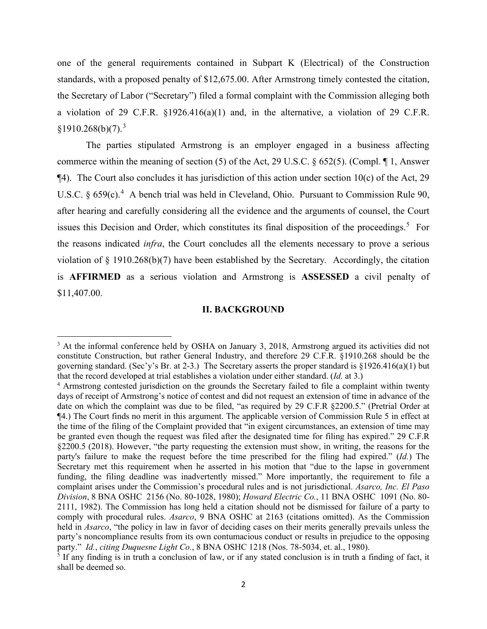one of the general requirements contained in Subpart K (Electrical) of the Construction standards, with a proposed penalty of \$12,675.00. After Armstrong timely contested the citation, the Secretary of Labor ("Secretary") filed a formal complaint with the Commission alleging both a violation of 29 C.F.R. §1926.416(a)(1) and, in the alternative, a violation of 29 C.F.R.  $$1910.268(b)(7).<sup>3</sup>$  $$1910.268(b)(7).<sup>3</sup>$  $$1910.268(b)(7).<sup>3</sup>$ 

The parties stipulated Armstrong is an employer engaged in a business affecting commerce within the meaning of section (5) of the Act, 29 U.S.C. § 652(5). (Compl. ¶ 1, Answer  $\P$ 4). The Court also concludes it has jurisdiction of this action under section 10(c) of the Act, 29 U.S.C.  $\S 659(c)$ .<sup>[4](#page-12-1)</sup> A bench trial was held in Cleveland, Ohio. Pursuant to Commission Rule 90, after hearing and carefully considering all the evidence and the arguments of counsel, the Court issues this Decision and Order, which constitutes its final disposition of the proceedings.<sup>[5](#page-12-2)</sup> For the reasons indicated *infra*, the Court concludes all the elements necessary to prove a serious violation of § 1910.268(b)(7) have been established by the Secretary*.* Accordingly, the citation is **AFFIRMED** as a serious violation and Armstrong is **ASSESSED** a civil penalty of \$11,407.00.

### **II. BACKGROUND**

<span id="page-12-0"></span><sup>&</sup>lt;sup>3</sup> At the informal conference held by OSHA on January 3, 2018, Armstrong argued its activities did not constitute Construction, but rather General Industry, and therefore 29 C.F.R. §1910.268 should be the governing standard. (Sec'y's Br. at 2-3.) The Secretary asserts the proper standard is §1926.416(a)(1) but that the record developed at trial establishes a violation under either standard. (*Id.* at 3.)

<span id="page-12-1"></span><sup>4</sup> Armstrong contested jurisdiction on the grounds the Secretary failed to file a complaint within twenty days of receipt of Armstrong's notice of contest and did not request an extension of time in advance of the date on which the complaint was due to be filed, "as required by 29 C.F.R §2200.5." (Pretrial Order at ¶4.) The Court finds no merit in this argument. The applicable version of Commission Rule 5 in effect at the time of the filing of the Complaint provided that "in exigent circumstances, an extension of time may be granted even though the request was filed after the designated time for filing has expired." 29 C.F.R §2200.5 (2018). However, "the party requesting the extension must show, in writing, the reasons for the party's failure to make the request before the time prescribed for the filing had expired." (*Id.*) The Secretary met this requirement when he asserted in his motion that "due to the lapse in government funding, the filing deadline was inadvertently missed." More importantly, the requirement to file a complaint arises under the Commission's procedural rules and is not jurisdictional. *Asarco, Inc. El Paso Division*, 8 BNA OSHC 2156 (No. 80-1028, 1980); *Howard Electric Co.*, 11 BNA OSHC 1091 (No. 80- 2111, 1982). The Commission has long held a citation should not be dismissed for failure of a party to comply with procedural rules. *Asarco*, 9 BNA OSHC at 2163 (citations omitted). As the Commission held in *Asarco*, "the policy in law in favor of deciding cases on their merits generally prevails unless the party's noncompliance results from its own contumacious conduct or results in prejudice to the opposing party." *Id.*, *citing Duquesne Light Co.*, 8 BNA OSHC 1218 (Nos. 78-5034, et. al., 1980).

<span id="page-12-2"></span> $<sup>5</sup>$  If any finding is in truth a conclusion of law, or if any stated conclusion is in truth a finding of fact, it</sup> shall be deemed so.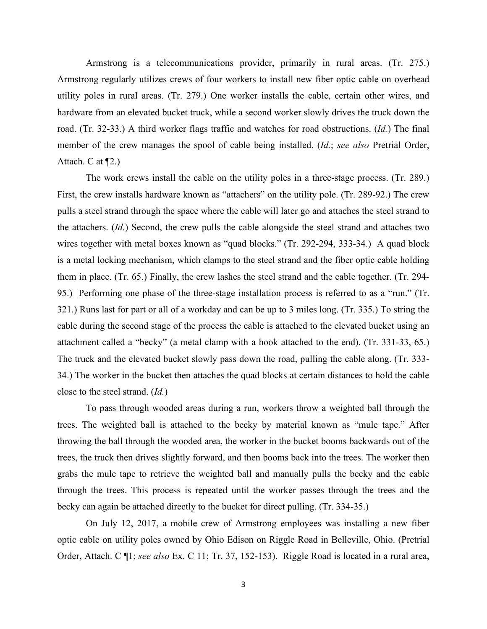Armstrong is a telecommunications provider, primarily in rural areas. (Tr. 275.) Armstrong regularly utilizes crews of four workers to install new fiber optic cable on overhead utility poles in rural areas. (Tr. 279.) One worker installs the cable, certain other wires, and hardware from an elevated bucket truck, while a second worker slowly drives the truck down the road. (Tr. 32-33.) A third worker flags traffic and watches for road obstructions. (*Id.*) The final member of the crew manages the spool of cable being installed. (*Id.*; *see also* Pretrial Order, Attach. C at ¶2.)

The work crews install the cable on the utility poles in a three-stage process. (Tr. 289.) First, the crew installs hardware known as "attachers" on the utility pole. (Tr. 289-92.) The crew pulls a steel strand through the space where the cable will later go and attaches the steel strand to the attachers. (*Id.*) Second, the crew pulls the cable alongside the steel strand and attaches two wires together with metal boxes known as "quad blocks." (Tr. 292-294, 333-34.) A quad block is a metal locking mechanism, which clamps to the steel strand and the fiber optic cable holding them in place. (Tr. 65.) Finally, the crew lashes the steel strand and the cable together. (Tr. 294- 95.) Performing one phase of the three-stage installation process is referred to as a "run." (Tr. 321.) Runs last for part or all of a workday and can be up to 3 miles long. (Tr. 335.) To string the cable during the second stage of the process the cable is attached to the elevated bucket using an attachment called a "becky" (a metal clamp with a hook attached to the end). (Tr. 331-33, 65.) The truck and the elevated bucket slowly pass down the road, pulling the cable along. (Tr. 333- 34.) The worker in the bucket then attaches the quad blocks at certain distances to hold the cable close to the steel strand. (*Id.*)

To pass through wooded areas during a run, workers throw a weighted ball through the trees. The weighted ball is attached to the becky by material known as "mule tape." After throwing the ball through the wooded area, the worker in the bucket booms backwards out of the trees, the truck then drives slightly forward, and then booms back into the trees. The worker then grabs the mule tape to retrieve the weighted ball and manually pulls the becky and the cable through the trees. This process is repeated until the worker passes through the trees and the becky can again be attached directly to the bucket for direct pulling. (Tr. 334-35.)

On July 12, 2017, a mobile crew of Armstrong employees was installing a new fiber optic cable on utility poles owned by Ohio Edison on Riggle Road in Belleville, Ohio. (Pretrial Order, Attach. C ¶1; *see also* Ex. C 11; Tr. 37, 152-153). Riggle Road is located in a rural area,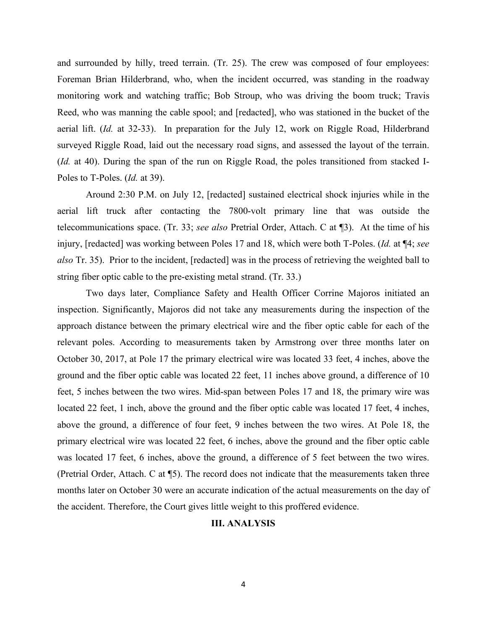and surrounded by hilly, treed terrain. (Tr. 25). The crew was composed of four employees: Foreman Brian Hilderbrand, who, when the incident occurred, was standing in the roadway monitoring work and watching traffic; Bob Stroup, who was driving the boom truck; Travis Reed, who was manning the cable spool; and [redacted], who was stationed in the bucket of the aerial lift. (*Id.* at 32-33). In preparation for the July 12, work on Riggle Road, Hilderbrand surveyed Riggle Road, laid out the necessary road signs, and assessed the layout of the terrain. (*Id.* at 40). During the span of the run on Riggle Road, the poles transitioned from stacked I-Poles to T-Poles. (*Id.* at 39).

Around 2:30 P.M. on July 12, [redacted] sustained electrical shock injuries while in the aerial lift truck after contacting the 7800-volt primary line that was outside the telecommunications space. (Tr. 33; *see also* Pretrial Order, Attach. C at ¶3). At the time of his injury, [redacted] was working between Poles 17 and 18, which were both T-Poles. (*Id.* at ¶4; *see also* Tr. 35). Prior to the incident, [redacted] was in the process of retrieving the weighted ball to string fiber optic cable to the pre-existing metal strand. (Tr. 33.)

Two days later, Compliance Safety and Health Officer Corrine Majoros initiated an inspection. Significantly, Majoros did not take any measurements during the inspection of the approach distance between the primary electrical wire and the fiber optic cable for each of the relevant poles. According to measurements taken by Armstrong over three months later on October 30, 2017, at Pole 17 the primary electrical wire was located 33 feet, 4 inches, above the ground and the fiber optic cable was located 22 feet, 11 inches above ground, a difference of 10 feet, 5 inches between the two wires. Mid-span between Poles 17 and 18, the primary wire was located 22 feet, 1 inch, above the ground and the fiber optic cable was located 17 feet, 4 inches, above the ground, a difference of four feet, 9 inches between the two wires. At Pole 18, the primary electrical wire was located 22 feet, 6 inches, above the ground and the fiber optic cable was located 17 feet, 6 inches, above the ground, a difference of 5 feet between the two wires. (Pretrial Order, Attach. C at ¶5). The record does not indicate that the measurements taken three months later on October 30 were an accurate indication of the actual measurements on the day of the accident. Therefore, the Court gives little weight to this proffered evidence.

# **III. ANALYSIS**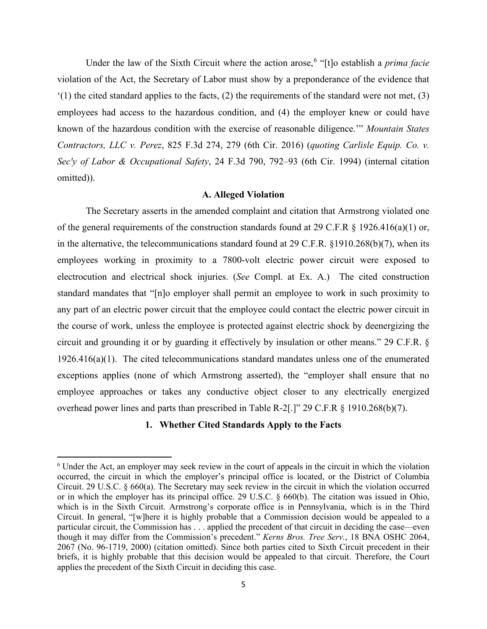Under the law of the Sixth Circuit where the action arose, [6](#page-15-0) "[t]o establish a *prima facie* violation of the Act, the Secretary of Labor must show by a preponderance of the evidence that  $(1)$  the cited standard applies to the facts, (2) the requirements of the standard were not met, (3) employees had access to the hazardous condition, and (4) the employer knew or could have known of the hazardous condition with the exercise of reasonable diligence.'" *Mountain States Contractors, LLC v. Perez*, 825 F.3d 274, 279 (6th Cir. 2016) (*quoting Carlisle Equip. Co. v. Sec'y of Labor & Occupational Safety*, 24 F.3d 790, 792–93 (6th Cir. 1994) (internal citation omitted)).

### **A. Alleged Violation**

The Secretary asserts in the amended complaint and citation that Armstrong violated one of the general requirements of the construction standards found at 29 C.F.R § 1926.416(a)(1) or, in the alternative, the telecommunications standard found at 29 C.F.R. §1910.268(b)(7), when its employees working in proximity to a 7800-volt electric power circuit were exposed to electrocution and electrical shock injuries. (*See* Compl. at Ex. A.) The cited construction standard mandates that "[n]o employer shall permit an employee to work in such proximity to any part of an electric power circuit that the employee could contact the electric power circuit in the course of work, unless the employee is protected against electric shock by deenergizing the circuit and grounding it or by guarding it effectively by insulation or other means." 29 C.F.R. § 1926.416(a)(1). The cited telecommunications standard mandates unless one of the enumerated exceptions applies (none of which Armstrong asserted), the "employer shall ensure that no employee approaches or takes any conductive object closer to any electrically energized overhead power lines and parts than prescribed in Table R-2[.]" 29 C.F.R § 1910.268(b)(7).

# **1. Whether Cited Standards Apply to the Facts**

<span id="page-15-0"></span><sup>6</sup> Under the Act, an employer may seek review in the court of appeals in the circuit in which the violation occurred, the circuit in which the employer's principal office is located, or the District of Columbia Circuit. 29 U.S.C. § 660(a). The Secretary may seek review in the circuit in which the violation occurred or in which the employer has its principal office. 29 U.S.C. § 660(b). The citation was issued in Ohio, which is in the Sixth Circuit. Armstrong's corporate office is in Pennsylvania, which is in the Third Circuit. In general, "[w]here it is highly probable that a Commission decision would be appealed to a particular circuit, the Commission has . . . applied the precedent of that circuit in deciding the case—even though it may differ from the Commission's precedent." *Kerns Bros. Tree Serv.*, 18 BNA OSHC 2064, 2067 (No. 96-1719, 2000) (citation omitted). Since both parties cited to Sixth Circuit precedent in their briefs, it is highly probable that this decision would be appealed to that circuit. Therefore, the Court applies the precedent of the Sixth Circuit in deciding this case.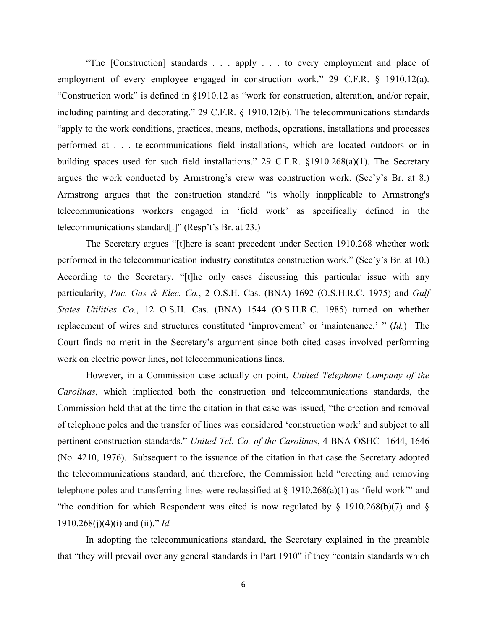"The [Construction] standards . . . apply . . . to every employment and place of employment of every employee engaged in construction work." 29 C.F.R. § 1910.12(a). "Construction work" is defined in §1910.12 as "work for construction, alteration, and/or repair, including painting and decorating." 29 C.F.R. § 1910.12(b). The telecommunications standards "apply to the work conditions, practices, means, methods, operations, installations and processes performed at . . . telecommunications field installations, which are located outdoors or in building spaces used for such field installations." 29 C.F.R. §1910.268(a)(1). The Secretary argues the work conducted by Armstrong's crew was construction work. (Sec'y's Br. at 8.) Armstrong argues that the construction standard "is wholly inapplicable to Armstrong's telecommunications workers engaged in 'field work' as specifically defined in the telecommunications standard[.]" (Resp't's Br. at 23.)

The Secretary argues "[t]here is scant precedent under Section 1910.268 whether work performed in the telecommunication industry constitutes construction work." (Sec'y's Br. at 10.) According to the Secretary, "[t]he only cases discussing this particular issue with any particularity, *Pac. Gas & Elec. Co.*, 2 O.S.H. Cas. (BNA) 1692 (O.S.H.R.C. 1975) and *Gulf States Utilities Co.*, 12 O.S.H. Cas. (BNA) 1544 (O.S.H.R.C. 1985) turned on whether replacement of wires and structures constituted 'improvement' or 'maintenance.' " (*Id.*) The Court finds no merit in the Secretary's argument since both cited cases involved performing work on electric power lines, not telecommunications lines.

However, in a Commission case actually on point, *United Telephone Company of the Carolinas*, which implicated both the construction and telecommunications standards, the Commission held that at the time the citation in that case was issued, "the erection and removal of telephone poles and the transfer of lines was considered 'construction work' and subject to all pertinent construction standards." *United Tel. Co. of the Carolinas*, 4 BNA OSHC 1644, 1646 (No. 4210, 1976). Subsequent to the issuance of the citation in that case the Secretary adopted the telecommunications standard, and therefore, the Commission held "erecting and removing telephone poles and transferring lines were reclassified at § 1910.268(a)(1) as 'field work'" and "the condition for which Respondent was cited is now regulated by  $\S$  1910.268(b)(7) and  $\S$ 1910.268(j)(4)(i) and (ii)." *Id.*

In adopting the telecommunications standard, the Secretary explained in the preamble that "they will prevail over any general standards in Part 1910" if they "contain standards which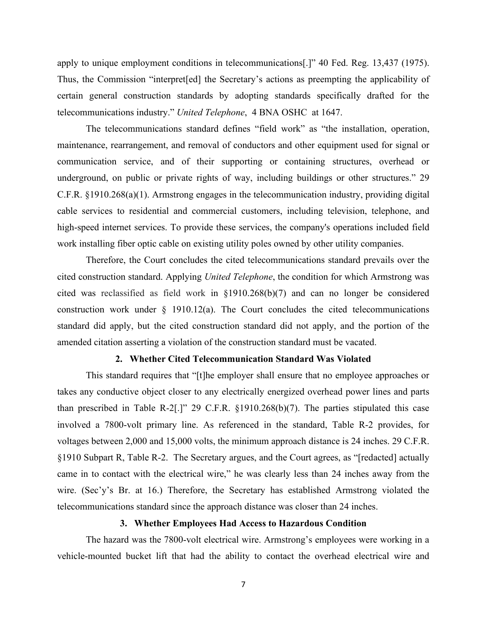apply to unique employment conditions in telecommunications[.]" 40 Fed. Reg. 13,437 (1975). Thus, the Commission "interpret[ed] the Secretary's actions as preempting the applicability of certain general construction standards by adopting standards specifically drafted for the telecommunications industry." *United Telephone*, 4 BNA OSHC at 1647.

The telecommunications standard defines "field work" as "the installation, operation, maintenance, rearrangement, and removal of conductors and other equipment used for signal or communication service, and of their supporting or containing structures, overhead or underground, on public or private rights of way, including buildings or other structures." 29 C.F.R. §1910.268(a)(1). Armstrong engages in the telecommunication industry, providing digital cable services to residential and commercial customers, including television, telephone, and high-speed internet services. To provide these services, the company's operations included field work installing fiber optic cable on existing utility poles owned by other utility companies.

Therefore, the Court concludes the cited telecommunications standard prevails over the cited construction standard. Applying *United Telephone*, the condition for which Armstrong was cited was reclassified as field work in §1910.268(b)(7) and can no longer be considered construction work under  $\S$  1910.12(a). The Court concludes the cited telecommunications standard did apply, but the cited construction standard did not apply, and the portion of the amended citation asserting a violation of the construction standard must be vacated.

### **2. Whether Cited Telecommunication Standard Was Violated**

This standard requires that "[t]he employer shall ensure that no employee approaches or takes any conductive object closer to any electrically energized overhead power lines and parts than prescribed in Table R-2[.]" 29 C.F.R. §1910.268(b)(7). The parties stipulated this case involved a 7800-volt primary line. As referenced in the standard, Table R-2 provides, for voltages between 2,000 and 15,000 volts, the minimum approach distance is 24 inches. 29 C.F.R. §1910 Subpart R, Table R-2. The Secretary argues, and the Court agrees, as "[redacted] actually came in to contact with the electrical wire," he was clearly less than 24 inches away from the wire. (Sec'y's Br. at 16.) Therefore, the Secretary has established Armstrong violated the telecommunications standard since the approach distance was closer than 24 inches.

### **3. Whether Employees Had Access to Hazardous Condition**

The hazard was the 7800-volt electrical wire. Armstrong's employees were working in a vehicle-mounted bucket lift that had the ability to contact the overhead electrical wire and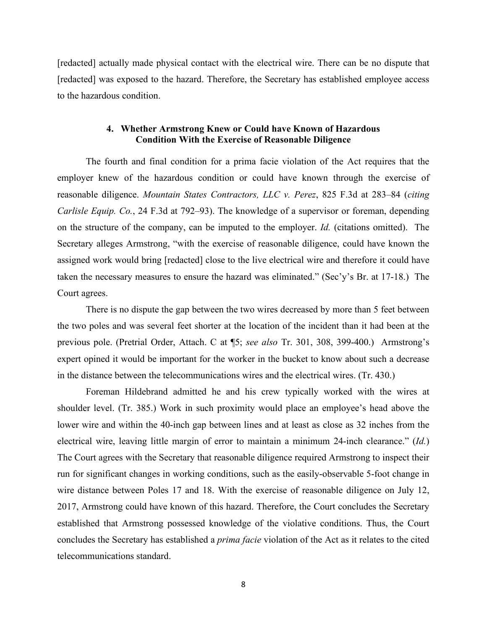[redacted] actually made physical contact with the electrical wire. There can be no dispute that [redacted] was exposed to the hazard. Therefore, the Secretary has established employee access to the hazardous condition.

# **4. Whether Armstrong Knew or Could have Known of Hazardous Condition With the Exercise of Reasonable Diligence**

The fourth and final condition for a prima facie violation of the Act requires that the employer knew of the hazardous condition or could have known through the exercise of reasonable diligence. *Mountain States Contractors, LLC v. Perez*, 825 F.3d at 283–84 (*citing Carlisle Equip. Co.*, 24 F.3d at 792–93). The knowledge of a supervisor or foreman, depending on the structure of the company, can be imputed to the employer. *Id.* (citations omitted). The Secretary alleges Armstrong, "with the exercise of reasonable diligence, could have known the assigned work would bring [redacted] close to the live electrical wire and therefore it could have taken the necessary measures to ensure the hazard was eliminated." (Sec'y's Br. at 17-18.) The Court agrees.

There is no dispute the gap between the two wires decreased by more than 5 feet between the two poles and was several feet shorter at the location of the incident than it had been at the previous pole. (Pretrial Order, Attach. C at ¶5; *see also* Tr. 301, 308, 399-400.) Armstrong's expert opined it would be important for the worker in the bucket to know about such a decrease in the distance between the telecommunications wires and the electrical wires. (Tr. 430.)

Foreman Hildebrand admitted he and his crew typically worked with the wires at shoulder level. (Tr. 385.) Work in such proximity would place an employee's head above the lower wire and within the 40-inch gap between lines and at least as close as 32 inches from the electrical wire, leaving little margin of error to maintain a minimum 24-inch clearance." (*Id.*) The Court agrees with the Secretary that reasonable diligence required Armstrong to inspect their run for significant changes in working conditions, such as the easily-observable 5-foot change in wire distance between Poles 17 and 18. With the exercise of reasonable diligence on July 12, 2017, Armstrong could have known of this hazard. Therefore, the Court concludes the Secretary established that Armstrong possessed knowledge of the violative conditions. Thus, the Court concludes the Secretary has established a *prima facie* violation of the Act as it relates to the cited telecommunications standard.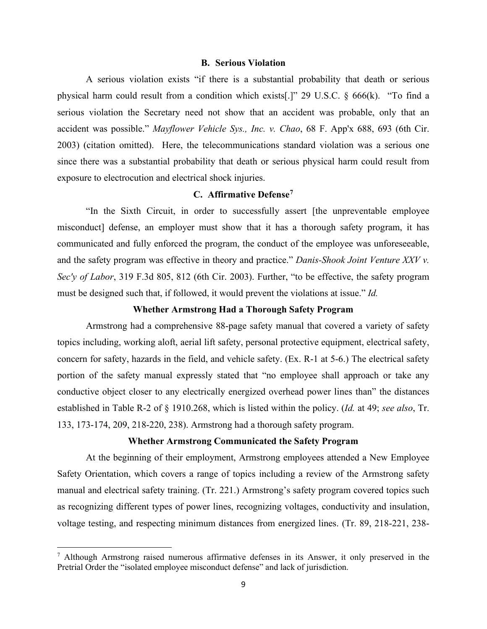### **B. Serious Violation**

A serious violation exists "if there is a substantial probability that death or serious physical harm could result from a condition which exists[.]" 29 U.S.C. § 666(k). "To find a serious violation the Secretary need not show that an accident was probable, only that an accident was possible." *Mayflower Vehicle Sys., Inc. v. Chao*, 68 F. App'x 688, 693 (6th Cir. 2003) (citation omitted). Here, the telecommunications standard violation was a serious one since there was a substantial probability that death or serious physical harm could result from exposure to electrocution and electrical shock injuries.

# **C. Affirmative Defense[7](#page-19-0)**

"In the Sixth Circuit, in order to successfully assert [the unpreventable employee misconduct] defense, an employer must show that it has a thorough safety program, it has communicated and fully enforced the program, the conduct of the employee was unforeseeable, and the safety program was effective in theory and practice." *Danis-Shook Joint Venture XXV v. Sec'y of Labor*, 319 F.3d 805, 812 (6th Cir. 2003). Further, "to be effective, the safety program must be designed such that, if followed, it would prevent the violations at issue." *Id.*

### **Whether Armstrong Had a Thorough Safety Program**

Armstrong had a comprehensive 88-page safety manual that covered a variety of safety topics including, working aloft, aerial lift safety, personal protective equipment, electrical safety, concern for safety, hazards in the field, and vehicle safety. (Ex. R-1 at 5-6.) The electrical safety portion of the safety manual expressly stated that "no employee shall approach or take any conductive object closer to any electrically energized overhead power lines than" the distances established in Table R-2 of § 1910.268, which is listed within the policy. (*Id.* at 49; *see also*, Tr. 133, 173-174, 209, 218-220, 238). Armstrong had a thorough safety program.

# **Whether Armstrong Communicated the Safety Program**

At the beginning of their employment, Armstrong employees attended a New Employee Safety Orientation, which covers a range of topics including a review of the Armstrong safety manual and electrical safety training. (Tr. 221.) Armstrong's safety program covered topics such as recognizing different types of power lines, recognizing voltages, conductivity and insulation, voltage testing, and respecting minimum distances from energized lines. (Tr. 89, 218-221, 238-

<span id="page-19-0"></span> $<sup>7</sup>$  Although Armstrong raised numerous affirmative defenses in its Answer, it only preserved in the</sup> Pretrial Order the "isolated employee misconduct defense" and lack of jurisdiction.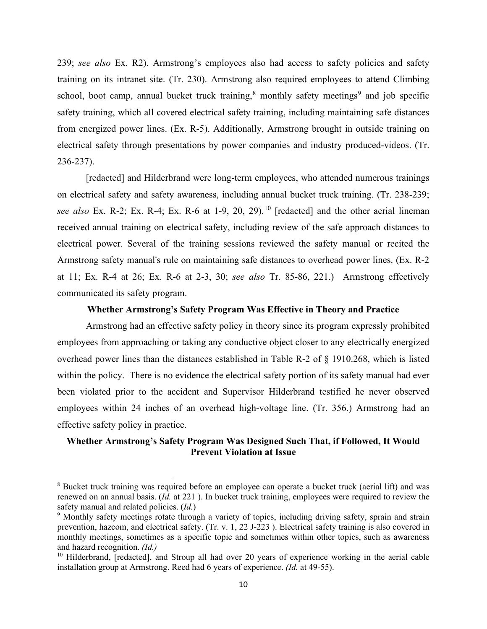239; *see also* Ex. R2). Armstrong's employees also had access to safety policies and safety training on its intranet site. (Tr. 230). Armstrong also required employees to attend Climbing school, boot camp, annual bucket truck training,<sup>[8](#page-20-0)</sup> monthly safety meetings<sup>[9](#page-20-1)</sup> and job specific safety training, which all covered electrical safety training, including maintaining safe distances from energized power lines. (Ex. R-5). Additionally, Armstrong brought in outside training on electrical safety through presentations by power companies and industry produced-videos. (Tr. 236-237).

[redacted] and Hilderbrand were long-term employees, who attended numerous trainings on electrical safety and safety awareness, including annual bucket truck training. (Tr. 238-239; *see also* Ex. R-2; Ex. R-4; Ex. R-6 at 1-9, 20, 29).[10](#page-20-2) [redacted] and the other aerial lineman received annual training on electrical safety, including review of the safe approach distances to electrical power. Several of the training sessions reviewed the safety manual or recited the Armstrong safety manual's rule on maintaining safe distances to overhead power lines. (Ex. R-2 at 11; Ex. R-4 at 26; Ex. R-6 at 2-3, 30; *see also* Tr. 85-86, 221.) Armstrong effectively communicated its safety program.

### **Whether Armstrong's Safety Program Was Effective in Theory and Practice**

Armstrong had an effective safety policy in theory since its program expressly prohibited employees from approaching or taking any conductive object closer to any electrically energized overhead power lines than the distances established in Table R-2 of § 1910.268, which is listed within the policy. There is no evidence the electrical safety portion of its safety manual had ever been violated prior to the accident and Supervisor Hilderbrand testified he never observed employees within 24 inches of an overhead high-voltage line. (Tr. 356.) Armstrong had an effective safety policy in practice.

# **Whether Armstrong's Safety Program Was Designed Such That, if Followed, It Would Prevent Violation at Issue**

<span id="page-20-0"></span><sup>&</sup>lt;sup>8</sup> Bucket truck training was required before an employee can operate a bucket truck (aerial lift) and was renewed on an annual basis. (*Id.* at 221 ). In bucket truck training, employees were required to review the safety manual and related policies. (*Id.*)

<span id="page-20-1"></span><sup>&</sup>lt;sup>9</sup> Monthly safety meetings rotate through a variety of topics, including driving safety, sprain and strain prevention, hazcom, and electrical safety. (Tr. v. 1, 22 J-223 ). Electrical safety training is also covered in monthly meetings, sometimes as a specific topic and sometimes within other topics, such as awareness and hazard recognition. *(Id.)*

<span id="page-20-2"></span><sup>&</sup>lt;sup>10</sup> Hilderbrand, [redacted], and Stroup all had over 20 years of experience working in the aerial cable installation group at Armstrong. Reed had 6 years of experience. *(Id.* at 49-55).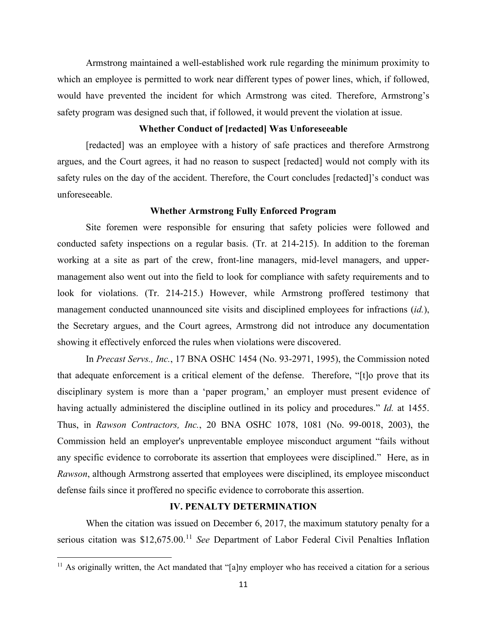Armstrong maintained a well-established work rule regarding the minimum proximity to which an employee is permitted to work near different types of power lines, which, if followed, would have prevented the incident for which Armstrong was cited. Therefore, Armstrong's safety program was designed such that, if followed, it would prevent the violation at issue.

# **Whether Conduct of [redacted] Was Unforeseeable**

[redacted] was an employee with a history of safe practices and therefore Armstrong argues, and the Court agrees, it had no reason to suspect [redacted] would not comply with its safety rules on the day of the accident. Therefore, the Court concludes [redacted]'s conduct was unforeseeable.

### **Whether Armstrong Fully Enforced Program**

Site foremen were responsible for ensuring that safety policies were followed and conducted safety inspections on a regular basis. (Tr. at 214-215). In addition to the foreman working at a site as part of the crew, front-line managers, mid-level managers, and uppermanagement also went out into the field to look for compliance with safety requirements and to look for violations. (Tr. 214-215.) However, while Armstrong proffered testimony that management conducted unannounced site visits and disciplined employees for infractions (*id.*), the Secretary argues, and the Court agrees, Armstrong did not introduce any documentation showing it effectively enforced the rules when violations were discovered.

In *Precast Servs., Inc.*, 17 BNA OSHC 1454 (No. 93-2971, 1995), the Commission noted that adequate enforcement is a critical element of the defense. Therefore, "[t]o prove that its disciplinary system is more than a 'paper program,' an employer must present evidence of having actually administered the discipline outlined in its policy and procedures." *Id.* at 1455. Thus, in *Rawson Contractors, Inc.*, 20 BNA OSHC 1078, 1081 (No. 99-0018, 2003), the Commission held an employer's unpreventable employee misconduct argument "fails without any specific evidence to corroborate its assertion that employees were disciplined." Here, as in *Rawson*, although Armstrong asserted that employees were disciplined, its employee misconduct defense fails since it proffered no specific evidence to corroborate this assertion.

# **IV. PENALTY DETERMINATION**

When the citation was issued on December 6, 2017, the maximum statutory penalty for a serious citation was \$12,675.00. [11](#page-21-0) *See* Department of Labor Federal Civil Penalties Inflation

<span id="page-21-0"></span> $11$  As originally written, the Act mandated that "[a]ny employer who has received a citation for a serious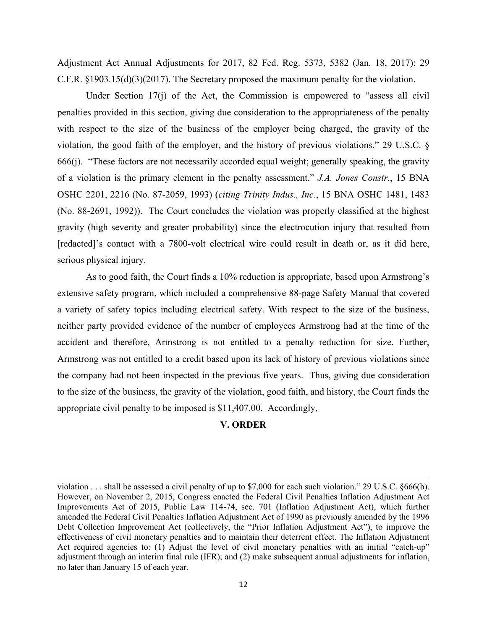Adjustment Act Annual Adjustments for 2017, 82 Fed. Reg. 5373, 5382 (Jan. 18, 2017); 29 C.F.R. §1903.15(d)(3)(2017). The Secretary proposed the maximum penalty for the violation.

Under Section 17(j) of the Act, the Commission is empowered to "assess all civil penalties provided in this section, giving due consideration to the appropriateness of the penalty with respect to the size of the business of the employer being charged, the gravity of the violation, the good faith of the employer, and the history of previous violations." 29 U.S.C. § 666(j). "These factors are not necessarily accorded equal weight; generally speaking, the gravity of a violation is the primary element in the penalty assessment." *J.A. Jones Constr.*, 15 BNA OSHC 2201, 2216 (No. 87-2059, 1993) (*citing Trinity Indus., Inc.*, 15 BNA OSHC 1481, 1483 (No. 88-2691, 1992)). The Court concludes the violation was properly classified at the highest gravity (high severity and greater probability) since the electrocution injury that resulted from [redacted]'s contact with a 7800-volt electrical wire could result in death or, as it did here, serious physical injury.

As to good faith, the Court finds a 10% reduction is appropriate, based upon Armstrong's extensive safety program, which included a comprehensive 88-page Safety Manual that covered a variety of safety topics including electrical safety. With respect to the size of the business, neither party provided evidence of the number of employees Armstrong had at the time of the accident and therefore, Armstrong is not entitled to a penalty reduction for size. Further, Armstrong was not entitled to a credit based upon its lack of history of previous violations since the company had not been inspected in the previous five years. Thus, giving due consideration to the size of the business, the gravity of the violation, good faith, and history, the Court finds the appropriate civil penalty to be imposed is \$11,407.00. Accordingly,

# **V. ORDER**

violation . . . shall be assessed a civil penalty of up to \$7,000 for each such violation." 29 U.S.C. §666(b). However, on November 2, 2015, Congress enacted the Federal Civil Penalties Inflation Adjustment Act Improvements Act of 2015, Public Law 114-74, sec. 701 (Inflation Adjustment Act), which further amended the Federal Civil Penalties Inflation Adjustment Act of 1990 as previously amended by the 1996 Debt Collection Improvement Act (collectively, the "Prior Inflation Adjustment Act"), to improve the effectiveness of civil monetary penalties and to maintain their deterrent effect. The Inflation Adjustment Act required agencies to: (1) Adjust the level of civil monetary penalties with an initial "catch-up" adjustment through an interim final rule (IFR); and (2) make subsequent annual adjustments for inflation, no later than January 15 of each year.